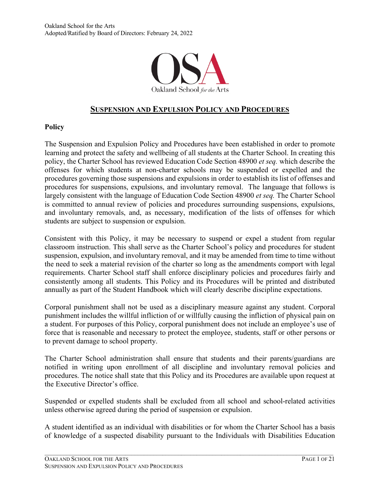

# **SUSPENSION AND EXPULSION POLICY AND PROCEDURES**

#### **Policy**

The Suspension and Expulsion Policy and Procedures have been established in order to promote learning and protect the safety and wellbeing of all students at the Charter School. In creating this policy, the Charter School has reviewed Education Code Section 48900 *et seq.* which describe the offenses for which students at non-charter schools may be suspended or expelled and the procedures governing those suspensions and expulsions in order to establish its list of offenses and procedures for suspensions, expulsions, and involuntary removal. The language that follows is largely consistent with the language of Education Code Section 48900 *et seq.* The Charter School is committed to annual review of policies and procedures surrounding suspensions, expulsions, and involuntary removals, and, as necessary, modification of the lists of offenses for which students are subject to suspension or expulsion.

Consistent with this Policy, it may be necessary to suspend or expel a student from regular classroom instruction. This shall serve as the Charter School's policy and procedures for student suspension, expulsion, and involuntary removal, and it may be amended from time to time without the need to seek a material revision of the charter so long as the amendments comport with legal requirements. Charter School staff shall enforce disciplinary policies and procedures fairly and consistently among all students. This Policy and its Procedures will be printed and distributed annually as part of the Student Handbook which will clearly describe discipline expectations.

Corporal punishment shall not be used as a disciplinary measure against any student. Corporal punishment includes the willful infliction of or willfully causing the infliction of physical pain on a student. For purposes of this Policy, corporal punishment does not include an employee's use of force that is reasonable and necessary to protect the employee, students, staff or other persons or to prevent damage to school property.

The Charter School administration shall ensure that students and their parents/guardians are notified in writing upon enrollment of all discipline and involuntary removal policies and procedures. The notice shall state that this Policy and its Procedures are available upon request at the Executive Director's office.

Suspended or expelled students shall be excluded from all school and school-related activities unless otherwise agreed during the period of suspension or expulsion.

A student identified as an individual with disabilities or for whom the Charter School has a basis of knowledge of a suspected disability pursuant to the Individuals with Disabilities Education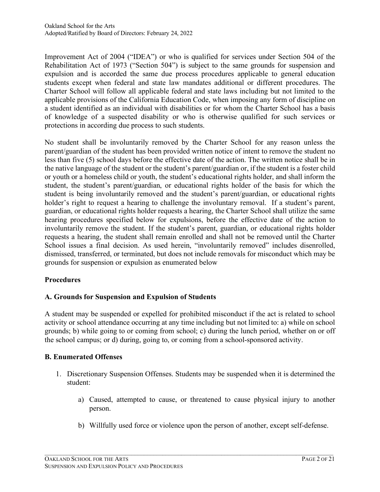Improvement Act of 2004 ("IDEA") or who is qualified for services under Section 504 of the Rehabilitation Act of 1973 ("Section 504") is subject to the same grounds for suspension and expulsion and is accorded the same due process procedures applicable to general education students except when federal and state law mandates additional or different procedures. The Charter School will follow all applicable federal and state laws including but not limited to the applicable provisions of the California Education Code, when imposing any form of discipline on a student identified as an individual with disabilities or for whom the Charter School has a basis of knowledge of a suspected disability or who is otherwise qualified for such services or protections in according due process to such students.

No student shall be involuntarily removed by the Charter School for any reason unless the parent/guardian of the student has been provided written notice of intent to remove the student no less than five (5) school days before the effective date of the action. The written notice shall be in the native language of the student or the student's parent/guardian or, if the student is a foster child or youth or a homeless child or youth, the student's educational rights holder, and shall inform the student, the student's parent/guardian, or educational rights holder of the basis for which the student is being involuntarily removed and the student's parent/guardian, or educational rights holder's right to request a hearing to challenge the involuntary removal. If a student's parent, guardian, or educational rights holder requests a hearing, the Charter School shall utilize the same hearing procedures specified below for expulsions, before the effective date of the action to involuntarily remove the student. If the student's parent, guardian, or educational rights holder requests a hearing, the student shall remain enrolled and shall not be removed until the Charter School issues a final decision. As used herein, "involuntarily removed" includes disenrolled, dismissed, transferred, or terminated, but does not include removals for misconduct which may be grounds for suspension or expulsion as enumerated below

### **Procedures**

# **A. Grounds for Suspension and Expulsion of Students**

A student may be suspended or expelled for prohibited misconduct if the act is related to school activity or school attendance occurring at any time including but not limited to: a) while on school grounds; b) while going to or coming from school; c) during the lunch period, whether on or off the school campus; or d) during, going to, or coming from a school-sponsored activity.

### **B. Enumerated Offenses**

- 1. Discretionary Suspension Offenses. Students may be suspended when it is determined the student:
	- a) Caused, attempted to cause, or threatened to cause physical injury to another person.
	- b) Willfully used force or violence upon the person of another, except self-defense.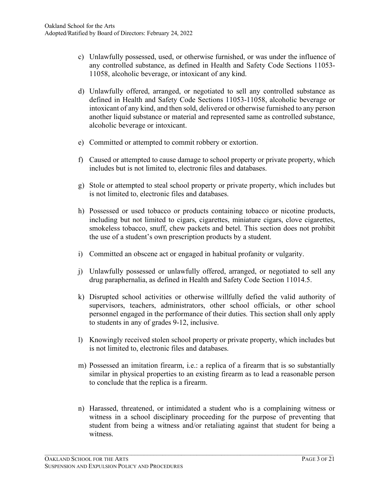- c) Unlawfully possessed, used, or otherwise furnished, or was under the influence of any controlled substance, as defined in Health and Safety Code Sections 11053- 11058, alcoholic beverage, or intoxicant of any kind.
- d) Unlawfully offered, arranged, or negotiated to sell any controlled substance as defined in Health and Safety Code Sections 11053-11058, alcoholic beverage or intoxicant of any kind, and then sold, delivered or otherwise furnished to any person another liquid substance or material and represented same as controlled substance, alcoholic beverage or intoxicant.
- e) Committed or attempted to commit robbery or extortion.
- f) Caused or attempted to cause damage to school property or private property, which includes but is not limited to, electronic files and databases.
- g) Stole or attempted to steal school property or private property, which includes but is not limited to, electronic files and databases.
- h) Possessed or used tobacco or products containing tobacco or nicotine products, including but not limited to cigars, cigarettes, miniature cigars, clove cigarettes, smokeless tobacco, snuff, chew packets and betel. This section does not prohibit the use of a student's own prescription products by a student.
- i) Committed an obscene act or engaged in habitual profanity or vulgarity.
- j) Unlawfully possessed or unlawfully offered, arranged, or negotiated to sell any drug paraphernalia, as defined in Health and Safety Code Section 11014.5.
- k) Disrupted school activities or otherwise willfully defied the valid authority of supervisors, teachers, administrators, other school officials, or other school personnel engaged in the performance of their duties. This section shall only apply to students in any of grades 9-12, inclusive.
- l) Knowingly received stolen school property or private property, which includes but is not limited to, electronic files and databases.
- m) Possessed an imitation firearm, i.e.: a replica of a firearm that is so substantially similar in physical properties to an existing firearm as to lead a reasonable person to conclude that the replica is a firearm.
- n) Harassed, threatened, or intimidated a student who is a complaining witness or witness in a school disciplinary proceeding for the purpose of preventing that student from being a witness and/or retaliating against that student for being a witness.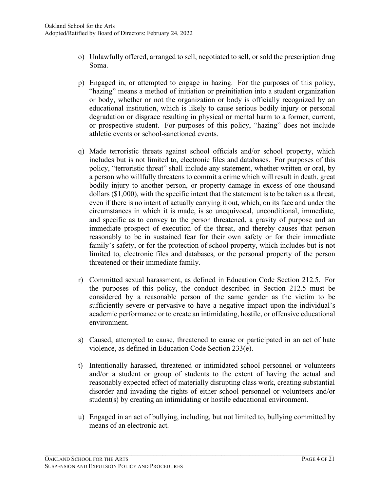- o) Unlawfully offered, arranged to sell, negotiated to sell, or sold the prescription drug Soma.
- p) Engaged in, or attempted to engage in hazing. For the purposes of this policy, "hazing" means a method of initiation or preinitiation into a student organization or body, whether or not the organization or body is officially recognized by an educational institution, which is likely to cause serious bodily injury or personal degradation or disgrace resulting in physical or mental harm to a former, current, or prospective student. For purposes of this policy, "hazing" does not include athletic events or school-sanctioned events.
- q) Made terroristic threats against school officials and/or school property, which includes but is not limited to, electronic files and databases. For purposes of this policy, "terroristic threat" shall include any statement, whether written or oral, by a person who willfully threatens to commit a crime which will result in death, great bodily injury to another person, or property damage in excess of one thousand dollars (\$1,000), with the specific intent that the statement is to be taken as a threat, even if there is no intent of actually carrying it out, which, on its face and under the circumstances in which it is made, is so unequivocal, unconditional, immediate, and specific as to convey to the person threatened, a gravity of purpose and an immediate prospect of execution of the threat, and thereby causes that person reasonably to be in sustained fear for their own safety or for their immediate family's safety, or for the protection of school property, which includes but is not limited to, electronic files and databases, or the personal property of the person threatened or their immediate family.
- r) Committed sexual harassment, as defined in Education Code Section 212.5. For the purposes of this policy, the conduct described in Section 212.5 must be considered by a reasonable person of the same gender as the victim to be sufficiently severe or pervasive to have a negative impact upon the individual's academic performance or to create an intimidating, hostile, or offensive educational environment.
- s) Caused, attempted to cause, threatened to cause or participated in an act of hate violence, as defined in Education Code Section 233(e).
- t) Intentionally harassed, threatened or intimidated school personnel or volunteers and/or a student or group of students to the extent of having the actual and reasonably expected effect of materially disrupting class work, creating substantial disorder and invading the rights of either school personnel or volunteers and/or student(s) by creating an intimidating or hostile educational environment.
- u) Engaged in an act of bullying, including, but not limited to, bullying committed by means of an electronic act.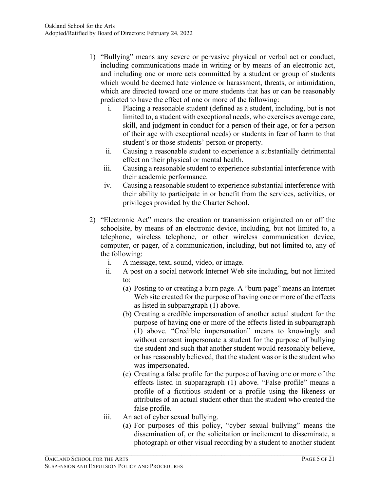- 1) "Bullying" means any severe or pervasive physical or verbal act or conduct, including communications made in writing or by means of an electronic act, and including one or more acts committed by a student or group of students which would be deemed hate violence or harassment, threats, or intimidation, which are directed toward one or more students that has or can be reasonably predicted to have the effect of one or more of the following:
	- i. Placing a reasonable student (defined as a student, including, but is not limited to, a student with exceptional needs, who exercises average care, skill, and judgment in conduct for a person of their age, or for a person of their age with exceptional needs) or students in fear of harm to that student's or those students' person or property.
	- ii. Causing a reasonable student to experience a substantially detrimental effect on their physical or mental health.
	- iii. Causing a reasonable student to experience substantial interference with their academic performance.
	- iv. Causing a reasonable student to experience substantial interference with their ability to participate in or benefit from the services, activities, or privileges provided by the Charter School.
- 2) "Electronic Act" means the creation or transmission originated on or off the schoolsite, by means of an electronic device, including, but not limited to, a telephone, wireless telephone, or other wireless communication device, computer, or pager, of a communication, including, but not limited to, any of the following:
	- i. A message, text, sound, video, or image.
	- ii. A post on a social network Internet Web site including, but not limited to:
		- (a) Posting to or creating a burn page. A "burn page" means an Internet Web site created for the purpose of having one or more of the effects as listed in subparagraph (1) above.
		- (b) Creating a credible impersonation of another actual student for the purpose of having one or more of the effects listed in subparagraph (1) above. "Credible impersonation" means to knowingly and without consent impersonate a student for the purpose of bullying the student and such that another student would reasonably believe, or has reasonably believed, that the student was or is the student who was impersonated.
		- (c) Creating a false profile for the purpose of having one or more of the effects listed in subparagraph (1) above. "False profile" means a profile of a fictitious student or a profile using the likeness or attributes of an actual student other than the student who created the false profile.
	- iii. An act of cyber sexual bullying.

(a) For purposes of this policy, "cyber sexual bullying" means the dissemination of, or the solicitation or incitement to disseminate, a photograph or other visual recording by a student to another student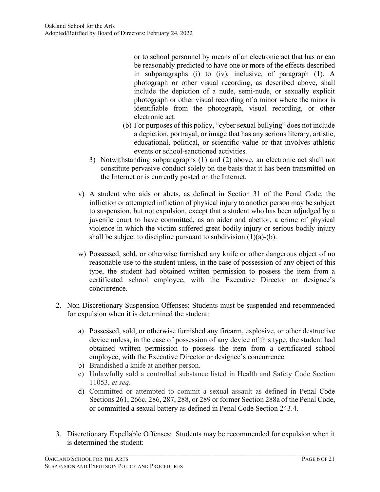or to school personnel by means of an electronic act that has or can be reasonably predicted to have one or more of the effects described in subparagraphs (i) to (iv), inclusive, of paragraph (1). A photograph or other visual recording, as described above, shall include the depiction of a nude, semi-nude, or sexually explicit photograph or other visual recording of a minor where the minor is identifiable from the photograph, visual recording, or other electronic act.

- (b) For purposes of this policy, "cyber sexual bullying" does not include a depiction, portrayal, or image that has any serious literary, artistic, educational, political, or scientific value or that involves athletic events or school-sanctioned activities.
- 3) Notwithstanding subparagraphs (1) and (2) above, an electronic act shall not constitute pervasive conduct solely on the basis that it has been transmitted on the Internet or is currently posted on the Internet.
- v) A student who aids or abets, as defined in Section 31 of the Penal Code, the infliction or attempted infliction of physical injury to another person may be subject to suspension, but not expulsion, except that a student who has been adjudged by a juvenile court to have committed, as an aider and abettor, a crime of physical violence in which the victim suffered great bodily injury or serious bodily injury shall be subject to discipline pursuant to subdivision  $(1)(a)-(b)$ .
- w) Possessed, sold, or otherwise furnished any knife or other dangerous object of no reasonable use to the student unless, in the case of possession of any object of this type, the student had obtained written permission to possess the item from a certificated school employee, with the Executive Director or designee's concurrence.
- 2. Non-Discretionary Suspension Offenses: Students must be suspended and recommended for expulsion when it is determined the student:
	- a) Possessed, sold, or otherwise furnished any firearm, explosive, or other destructive device unless, in the case of possession of any device of this type, the student had obtained written permission to possess the item from a certificated school employee, with the Executive Director or designee's concurrence.
	- b) Brandished a knife at another person.
	- c) Unlawfully sold a controlled substance listed in Health and Safety Code Section 11053, *et seq*.
	- d) Committed or attempted to commit a sexual assault as defined in Penal Code Sections 261, 266c, 286, 287, 288, or 289 or former Section 288a of the Penal Code, or committed a sexual battery as defined in Penal Code Section 243.4.
- 3. Discretionary Expellable Offenses: Students may be recommended for expulsion when it is determined the student: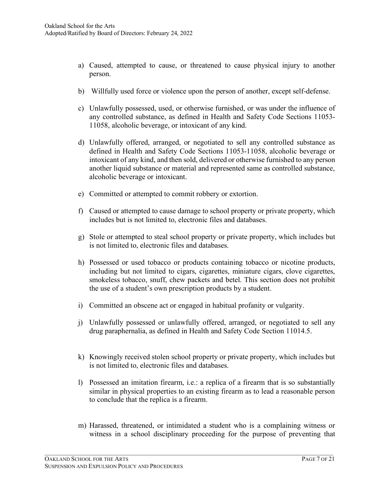- a) Caused, attempted to cause, or threatened to cause physical injury to another person.
- b) Willfully used force or violence upon the person of another, except self-defense.
- c) Unlawfully possessed, used, or otherwise furnished, or was under the influence of any controlled substance, as defined in Health and Safety Code Sections 11053- 11058, alcoholic beverage, or intoxicant of any kind.
- d) Unlawfully offered, arranged, or negotiated to sell any controlled substance as defined in Health and Safety Code Sections 11053-11058, alcoholic beverage or intoxicant of any kind, and then sold, delivered or otherwise furnished to any person another liquid substance or material and represented same as controlled substance, alcoholic beverage or intoxicant.
- e) Committed or attempted to commit robbery or extortion.
- f) Caused or attempted to cause damage to school property or private property, which includes but is not limited to, electronic files and databases.
- g) Stole or attempted to steal school property or private property, which includes but is not limited to, electronic files and databases.
- h) Possessed or used tobacco or products containing tobacco or nicotine products, including but not limited to cigars, cigarettes, miniature cigars, clove cigarettes, smokeless tobacco, snuff, chew packets and betel. This section does not prohibit the use of a student's own prescription products by a student.
- i) Committed an obscene act or engaged in habitual profanity or vulgarity.
- j) Unlawfully possessed or unlawfully offered, arranged, or negotiated to sell any drug paraphernalia, as defined in Health and Safety Code Section 11014.5.
- k) Knowingly received stolen school property or private property, which includes but is not limited to, electronic files and databases.
- l) Possessed an imitation firearm, i.e.: a replica of a firearm that is so substantially similar in physical properties to an existing firearm as to lead a reasonable person to conclude that the replica is a firearm.
- m) Harassed, threatened, or intimidated a student who is a complaining witness or witness in a school disciplinary proceeding for the purpose of preventing that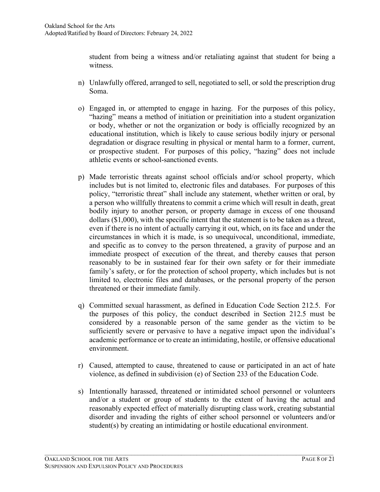student from being a witness and/or retaliating against that student for being a witness.

- n) Unlawfully offered, arranged to sell, negotiated to sell, or sold the prescription drug Soma.
- o) Engaged in, or attempted to engage in hazing. For the purposes of this policy, "hazing" means a method of initiation or preinitiation into a student organization or body, whether or not the organization or body is officially recognized by an educational institution, which is likely to cause serious bodily injury or personal degradation or disgrace resulting in physical or mental harm to a former, current, or prospective student. For purposes of this policy, "hazing" does not include athletic events or school-sanctioned events.
- p) Made terroristic threats against school officials and/or school property, which includes but is not limited to, electronic files and databases. For purposes of this policy, "terroristic threat" shall include any statement, whether written or oral, by a person who willfully threatens to commit a crime which will result in death, great bodily injury to another person, or property damage in excess of one thousand dollars (\$1,000), with the specific intent that the statement is to be taken as a threat, even if there is no intent of actually carrying it out, which, on its face and under the circumstances in which it is made, is so unequivocal, unconditional, immediate, and specific as to convey to the person threatened, a gravity of purpose and an immediate prospect of execution of the threat, and thereby causes that person reasonably to be in sustained fear for their own safety or for their immediate family's safety, or for the protection of school property, which includes but is not limited to, electronic files and databases, or the personal property of the person threatened or their immediate family.
- q) Committed sexual harassment, as defined in Education Code Section 212.5. For the purposes of this policy, the conduct described in Section 212.5 must be considered by a reasonable person of the same gender as the victim to be sufficiently severe or pervasive to have a negative impact upon the individual's academic performance or to create an intimidating, hostile, or offensive educational environment.
- r) Caused, attempted to cause, threatened to cause or participated in an act of hate violence, as defined in subdivision (e) of Section 233 of the Education Code.
- s) Intentionally harassed, threatened or intimidated school personnel or volunteers and/or a student or group of students to the extent of having the actual and reasonably expected effect of materially disrupting class work, creating substantial disorder and invading the rights of either school personnel or volunteers and/or student(s) by creating an intimidating or hostile educational environment.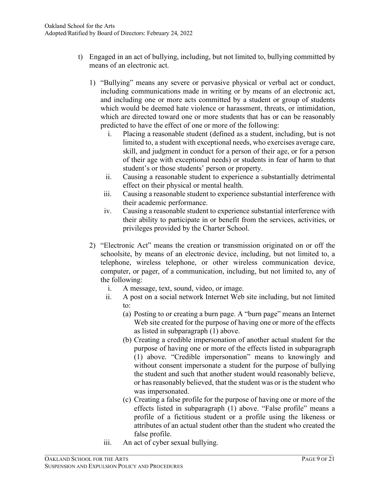- t) Engaged in an act of bullying, including, but not limited to, bullying committed by means of an electronic act.
	- 1) "Bullying" means any severe or pervasive physical or verbal act or conduct, including communications made in writing or by means of an electronic act, and including one or more acts committed by a student or group of students which would be deemed hate violence or harassment, threats, or intimidation, which are directed toward one or more students that has or can be reasonably predicted to have the effect of one or more of the following:
		- i. Placing a reasonable student (defined as a student, including, but is not limited to, a student with exceptional needs, who exercises average care, skill, and judgment in conduct for a person of their age, or for a person of their age with exceptional needs) or students in fear of harm to that student's or those students' person or property.
		- ii. Causing a reasonable student to experience a substantially detrimental effect on their physical or mental health.
		- iii. Causing a reasonable student to experience substantial interference with their academic performance.
		- iv. Causing a reasonable student to experience substantial interference with their ability to participate in or benefit from the services, activities, or privileges provided by the Charter School.
	- 2) "Electronic Act" means the creation or transmission originated on or off the schoolsite, by means of an electronic device, including, but not limited to, a telephone, wireless telephone, or other wireless communication device, computer, or pager, of a communication, including, but not limited to, any of the following:
		- i. A message, text, sound, video, or image.
		- ii. A post on a social network Internet Web site including, but not limited to:
			- (a) Posting to or creating a burn page. A "burn page" means an Internet Web site created for the purpose of having one or more of the effects as listed in subparagraph (1) above.
			- (b) Creating a credible impersonation of another actual student for the purpose of having one or more of the effects listed in subparagraph (1) above. "Credible impersonation" means to knowingly and without consent impersonate a student for the purpose of bullying the student and such that another student would reasonably believe, or has reasonably believed, that the student was or is the student who was impersonated.
			- (c) Creating a false profile for the purpose of having one or more of the effects listed in subparagraph (1) above. "False profile" means a profile of a fictitious student or a profile using the likeness or attributes of an actual student other than the student who created the false profile.
		- iii. An act of cyber sexual bullying.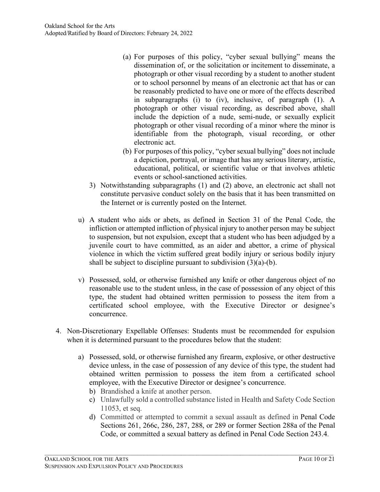- (a) For purposes of this policy, "cyber sexual bullying" means the dissemination of, or the solicitation or incitement to disseminate, a photograph or other visual recording by a student to another student or to school personnel by means of an electronic act that has or can be reasonably predicted to have one or more of the effects described in subparagraphs (i) to (iv), inclusive, of paragraph (1). A photograph or other visual recording, as described above, shall include the depiction of a nude, semi-nude, or sexually explicit photograph or other visual recording of a minor where the minor is identifiable from the photograph, visual recording, or other electronic act.
- (b) For purposes of this policy, "cyber sexual bullying" does not include a depiction, portrayal, or image that has any serious literary, artistic, educational, political, or scientific value or that involves athletic events or school-sanctioned activities.
- 3) Notwithstanding subparagraphs (1) and (2) above, an electronic act shall not constitute pervasive conduct solely on the basis that it has been transmitted on the Internet or is currently posted on the Internet.
- u) A student who aids or abets, as defined in Section 31 of the Penal Code, the infliction or attempted infliction of physical injury to another person may be subject to suspension, but not expulsion, except that a student who has been adjudged by a juvenile court to have committed, as an aider and abettor, a crime of physical violence in which the victim suffered great bodily injury or serious bodily injury shall be subject to discipline pursuant to subdivision  $(3)(a)-(b)$ .
- v) Possessed, sold, or otherwise furnished any knife or other dangerous object of no reasonable use to the student unless, in the case of possession of any object of this type, the student had obtained written permission to possess the item from a certificated school employee, with the Executive Director or designee's concurrence.
- 4. Non-Discretionary Expellable Offenses: Students must be recommended for expulsion when it is determined pursuant to the procedures below that the student:
	- a) Possessed, sold, or otherwise furnished any firearm, explosive, or other destructive device unless, in the case of possession of any device of this type, the student had obtained written permission to possess the item from a certificated school employee, with the Executive Director or designee's concurrence.
		- b) Brandished a knife at another person.
		- c) Unlawfully sold a controlled substance listed in Health and Safety Code Section 11053, et seq.
		- d) Committed or attempted to commit a sexual assault as defined in Penal Code Sections 261, 266c, 286, 287, 288, or 289 or former Section 288a of the Penal Code, or committed a sexual battery as defined in Penal Code Section 243.4.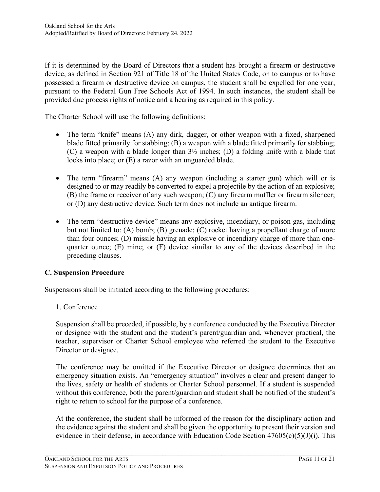If it is determined by the Board of Directors that a student has brought a firearm or destructive device, as defined in Section 921 of Title 18 of the United States Code, on to campus or to have possessed a firearm or destructive device on campus, the student shall be expelled for one year, pursuant to the Federal Gun Free Schools Act of 1994. In such instances, the student shall be provided due process rights of notice and a hearing as required in this policy.

The Charter School will use the following definitions:

- The term "knife" means (A) any dirk, dagger, or other weapon with a fixed, sharpened blade fitted primarily for stabbing; (B) a weapon with a blade fitted primarily for stabbing; (C) a weapon with a blade longer than 3½ inches; (D) a folding knife with a blade that locks into place; or (E) a razor with an unguarded blade.
- The term "firearm" means (A) any weapon (including a starter gun) which will or is designed to or may readily be converted to expel a projectile by the action of an explosive; (B) the frame or receiver of any such weapon; (C) any firearm muffler or firearm silencer; or (D) any destructive device. Such term does not include an antique firearm.
- The term "destructive device" means any explosive, incendiary, or poison gas, including but not limited to: (A) bomb; (B) grenade; (C) rocket having a propellant charge of more than four ounces; (D) missile having an explosive or incendiary charge of more than onequarter ounce; (E) mine; or (F) device similar to any of the devices described in the preceding clauses.

# **C. Suspension Procedure**

Suspensions shall be initiated according to the following procedures:

1. Conference

Suspension shall be preceded, if possible, by a conference conducted by the Executive Director or designee with the student and the student's parent/guardian and, whenever practical, the teacher, supervisor or Charter School employee who referred the student to the Executive Director or designee.

The conference may be omitted if the Executive Director or designee determines that an emergency situation exists. An "emergency situation" involves a clear and present danger to the lives, safety or health of students or Charter School personnel. If a student is suspended without this conference, both the parent/guardian and student shall be notified of the student's right to return to school for the purpose of a conference.

At the conference, the student shall be informed of the reason for the disciplinary action and the evidence against the student and shall be given the opportunity to present their version and evidence in their defense, in accordance with Education Code Section  $47605(c)(5)(J)(i)$ . This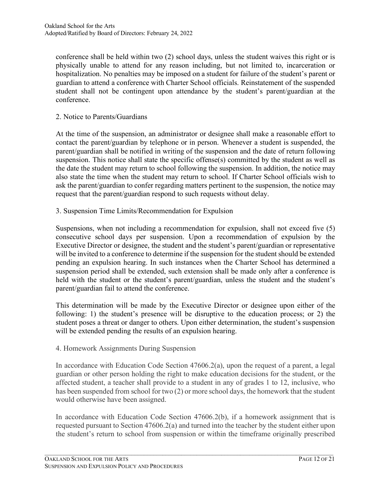conference shall be held within two (2) school days, unless the student waives this right or is physically unable to attend for any reason including, but not limited to, incarceration or hospitalization. No penalties may be imposed on a student for failure of the student's parent or guardian to attend a conference with Charter School officials. Reinstatement of the suspended student shall not be contingent upon attendance by the student's parent/guardian at the conference.

### 2. Notice to Parents/Guardians

At the time of the suspension, an administrator or designee shall make a reasonable effort to contact the parent/guardian by telephone or in person. Whenever a student is suspended, the parent/guardian shall be notified in writing of the suspension and the date of return following suspension. This notice shall state the specific offense(s) committed by the student as well as the date the student may return to school following the suspension. In addition, the notice may also state the time when the student may return to school. If Charter School officials wish to ask the parent/guardian to confer regarding matters pertinent to the suspension, the notice may request that the parent/guardian respond to such requests without delay.

3. Suspension Time Limits/Recommendation for Expulsion

Suspensions, when not including a recommendation for expulsion, shall not exceed five (5) consecutive school days per suspension. Upon a recommendation of expulsion by the Executive Director or designee, the student and the student's parent/guardian or representative will be invited to a conference to determine if the suspension for the student should be extended pending an expulsion hearing. In such instances when the Charter School has determined a suspension period shall be extended, such extension shall be made only after a conference is held with the student or the student's parent/guardian, unless the student and the student's parent/guardian fail to attend the conference.

This determination will be made by the Executive Director or designee upon either of the following: 1) the student's presence will be disruptive to the education process; or 2) the student poses a threat or danger to others. Upon either determination, the student's suspension will be extended pending the results of an expulsion hearing.

#### 4. Homework Assignments During Suspension

In accordance with Education Code Section 47606.2(a), upon the request of a parent, a legal guardian or other person holding the right to make education decisions for the student, or the affected student, a teacher shall provide to a student in any of grades 1 to 12, inclusive, who has been suspended from school for two (2) or more school days, the homework that the student would otherwise have been assigned.

In accordance with Education Code Section 47606.2(b), if a homework assignment that is requested pursuant to Section 47606.2(a) and turned into the teacher by the student either upon the student's return to school from suspension or within the timeframe originally prescribed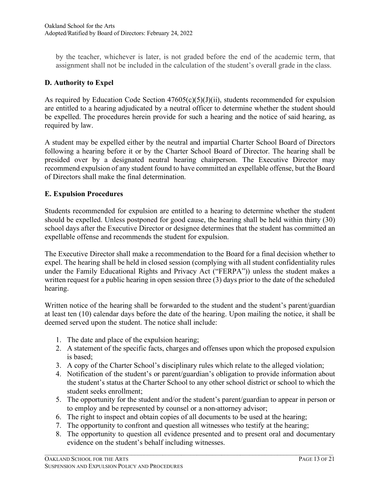by the teacher, whichever is later, is not graded before the end of the academic term, that assignment shall not be included in the calculation of the student's overall grade in the class.

## **D. Authority to Expel**

As required by Education Code Section  $47605(c)(5)(J)(ii)$ , students recommended for expulsion are entitled to a hearing adjudicated by a neutral officer to determine whether the student should be expelled. The procedures herein provide for such a hearing and the notice of said hearing, as required by law.

A student may be expelled either by the neutral and impartial Charter School Board of Directors following a hearing before it or by the Charter School Board of Director. The hearing shall be presided over by a designated neutral hearing chairperson. The Executive Director may recommend expulsion of any student found to have committed an expellable offense, but the Board of Directors shall make the final determination.

### **E. Expulsion Procedures**

Students recommended for expulsion are entitled to a hearing to determine whether the student should be expelled. Unless postponed for good cause, the hearing shall be held within thirty (30) school days after the Executive Director or designee determines that the student has committed an expellable offense and recommends the student for expulsion.

The Executive Director shall make a recommendation to the Board for a final decision whether to expel. The hearing shall be held in closed session (complying with all student confidentiality rules under the Family Educational Rights and Privacy Act ("FERPA")) unless the student makes a written request for a public hearing in open session three (3) days prior to the date of the scheduled hearing.

Written notice of the hearing shall be forwarded to the student and the student's parent/guardian at least ten (10) calendar days before the date of the hearing. Upon mailing the notice, it shall be deemed served upon the student. The notice shall include:

- 1. The date and place of the expulsion hearing;
- 2. A statement of the specific facts, charges and offenses upon which the proposed expulsion is based;
- 3. A copy of the Charter School's disciplinary rules which relate to the alleged violation;
- 4. Notification of the student's or parent/guardian's obligation to provide information about the student's status at the Charter School to any other school district or school to which the student seeks enrollment;
- 5. The opportunity for the student and/or the student's parent/guardian to appear in person or to employ and be represented by counsel or a non-attorney advisor;
- 6. The right to inspect and obtain copies of all documents to be used at the hearing;
- 7. The opportunity to confront and question all witnesses who testify at the hearing;
- 8. The opportunity to question all evidence presented and to present oral and documentary evidence on the student's behalf including witnesses.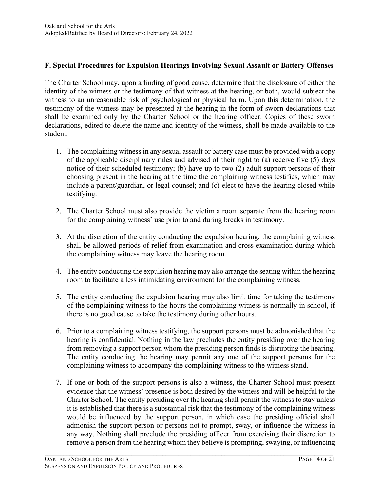### **F. Special Procedures for Expulsion Hearings Involving Sexual Assault or Battery Offenses**

The Charter School may, upon a finding of good cause, determine that the disclosure of either the identity of the witness or the testimony of that witness at the hearing, or both, would subject the witness to an unreasonable risk of psychological or physical harm. Upon this determination, the testimony of the witness may be presented at the hearing in the form of sworn declarations that shall be examined only by the Charter School or the hearing officer. Copies of these sworn declarations, edited to delete the name and identity of the witness, shall be made available to the student.

- 1. The complaining witness in any sexual assault or battery case must be provided with a copy of the applicable disciplinary rules and advised of their right to (a) receive five (5) days notice of their scheduled testimony; (b) have up to two (2) adult support persons of their choosing present in the hearing at the time the complaining witness testifies, which may include a parent/guardian, or legal counsel; and (c) elect to have the hearing closed while testifying.
- 2. The Charter School must also provide the victim a room separate from the hearing room for the complaining witness' use prior to and during breaks in testimony.
- 3. At the discretion of the entity conducting the expulsion hearing, the complaining witness shall be allowed periods of relief from examination and cross-examination during which the complaining witness may leave the hearing room.
- 4. The entity conducting the expulsion hearing may also arrange the seating within the hearing room to facilitate a less intimidating environment for the complaining witness.
- 5. The entity conducting the expulsion hearing may also limit time for taking the testimony of the complaining witness to the hours the complaining witness is normally in school, if there is no good cause to take the testimony during other hours.
- 6. Prior to a complaining witness testifying, the support persons must be admonished that the hearing is confidential. Nothing in the law precludes the entity presiding over the hearing from removing a support person whom the presiding person finds is disrupting the hearing. The entity conducting the hearing may permit any one of the support persons for the complaining witness to accompany the complaining witness to the witness stand.
- 7. If one or both of the support persons is also a witness, the Charter School must present evidence that the witness' presence is both desired by the witness and will be helpful to the Charter School. The entity presiding over the hearing shall permit the witness to stay unless it is established that there is a substantial risk that the testimony of the complaining witness would be influenced by the support person, in which case the presiding official shall admonish the support person or persons not to prompt, sway, or influence the witness in any way. Nothing shall preclude the presiding officer from exercising their discretion to remove a person from the hearing whom they believe is prompting, swaying, or influencing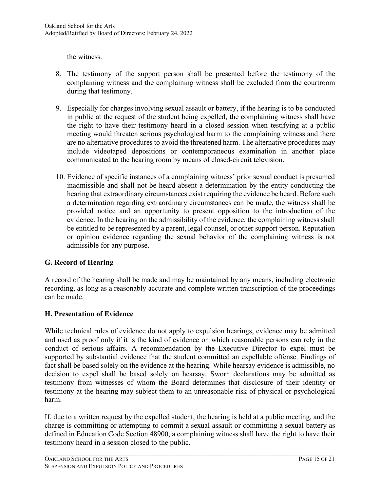the witness.

- 8. The testimony of the support person shall be presented before the testimony of the complaining witness and the complaining witness shall be excluded from the courtroom during that testimony.
- 9. Especially for charges involving sexual assault or battery, if the hearing is to be conducted in public at the request of the student being expelled, the complaining witness shall have the right to have their testimony heard in a closed session when testifying at a public meeting would threaten serious psychological harm to the complaining witness and there are no alternative procedures to avoid the threatened harm. The alternative procedures may include videotaped depositions or contemporaneous examination in another place communicated to the hearing room by means of closed-circuit television.
- 10. Evidence of specific instances of a complaining witness' prior sexual conduct is presumed inadmissible and shall not be heard absent a determination by the entity conducting the hearing that extraordinary circumstances exist requiring the evidence be heard. Before such a determination regarding extraordinary circumstances can be made, the witness shall be provided notice and an opportunity to present opposition to the introduction of the evidence. In the hearing on the admissibility of the evidence, the complaining witness shall be entitled to be represented by a parent, legal counsel, or other support person. Reputation or opinion evidence regarding the sexual behavior of the complaining witness is not admissible for any purpose.

### **G. Record of Hearing**

A record of the hearing shall be made and may be maintained by any means, including electronic recording, as long as a reasonably accurate and complete written transcription of the proceedings can be made.

### **H. Presentation of Evidence**

While technical rules of evidence do not apply to expulsion hearings, evidence may be admitted and used as proof only if it is the kind of evidence on which reasonable persons can rely in the conduct of serious affairs. A recommendation by the Executive Director to expel must be supported by substantial evidence that the student committed an expellable offense. Findings of fact shall be based solely on the evidence at the hearing. While hearsay evidence is admissible, no decision to expel shall be based solely on hearsay. Sworn declarations may be admitted as testimony from witnesses of whom the Board determines that disclosure of their identity or testimony at the hearing may subject them to an unreasonable risk of physical or psychological harm.

If, due to a written request by the expelled student, the hearing is held at a public meeting, and the charge is committing or attempting to commit a sexual assault or committing a sexual battery as defined in Education Code Section 48900, a complaining witness shall have the right to have their testimony heard in a session closed to the public.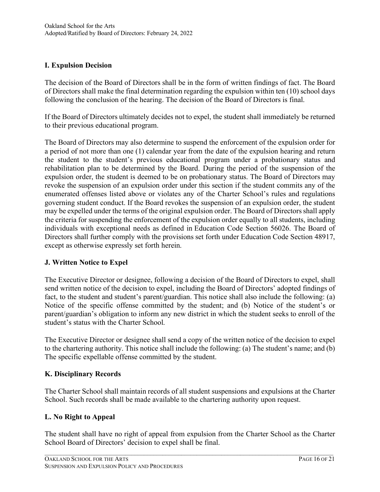## **I. Expulsion Decision**

The decision of the Board of Directors shall be in the form of written findings of fact. The Board of Directors shall make the final determination regarding the expulsion within ten (10) school days following the conclusion of the hearing. The decision of the Board of Directors is final.

If the Board of Directors ultimately decides not to expel, the student shall immediately be returned to their previous educational program.

The Board of Directors may also determine to suspend the enforcement of the expulsion order for a period of not more than one (1) calendar year from the date of the expulsion hearing and return the student to the student's previous educational program under a probationary status and rehabilitation plan to be determined by the Board. During the period of the suspension of the expulsion order, the student is deemed to be on probationary status. The Board of Directors may revoke the suspension of an expulsion order under this section if the student commits any of the enumerated offenses listed above or violates any of the Charter School's rules and regulations governing student conduct. If the Board revokes the suspension of an expulsion order, the student may be expelled under the terms of the original expulsion order. The Board of Directors shall apply the criteria for suspending the enforcement of the expulsion order equally to all students, including individuals with exceptional needs as defined in Education Code Section 56026. The Board of Directors shall further comply with the provisions set forth under Education Code Section 48917, except as otherwise expressly set forth herein.

### **J. Written Notice to Expel**

The Executive Director or designee, following a decision of the Board of Directors to expel, shall send written notice of the decision to expel, including the Board of Directors' adopted findings of fact, to the student and student's parent/guardian. This notice shall also include the following: (a) Notice of the specific offense committed by the student; and (b) Notice of the student's or parent/guardian's obligation to inform any new district in which the student seeks to enroll of the student's status with the Charter School.

The Executive Director or designee shall send a copy of the written notice of the decision to expel to the chartering authority. This notice shall include the following: (a) The student's name; and (b) The specific expellable offense committed by the student.

### **K. Disciplinary Records**

The Charter School shall maintain records of all student suspensions and expulsions at the Charter School. Such records shall be made available to the chartering authority upon request.

# **L. No Right to Appeal**

The student shall have no right of appeal from expulsion from the Charter School as the Charter School Board of Directors' decision to expel shall be final.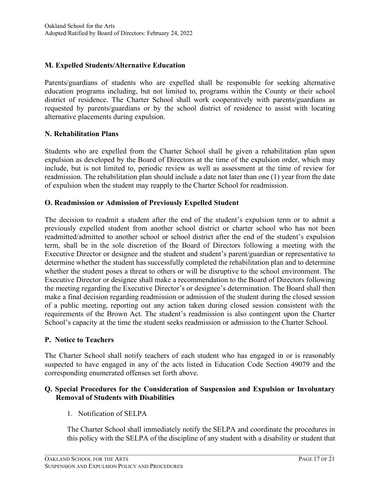### **M. Expelled Students/Alternative Education**

Parents/guardians of students who are expelled shall be responsible for seeking alternative education programs including, but not limited to, programs within the County or their school district of residence. The Charter School shall work cooperatively with parents/guardians as requested by parents/guardians or by the school district of residence to assist with locating alternative placements during expulsion.

#### **N. Rehabilitation Plans**

Students who are expelled from the Charter School shall be given a rehabilitation plan upon expulsion as developed by the Board of Directors at the time of the expulsion order, which may include, but is not limited to, periodic review as well as assessment at the time of review for readmission. The rehabilitation plan should include a date not later than one (1) year from the date of expulsion when the student may reapply to the Charter School for readmission.

#### **O. Readmission or Admission of Previously Expelled Student**

The decision to readmit a student after the end of the student's expulsion term or to admit a previously expelled student from another school district or charter school who has not been readmitted/admitted to another school or school district after the end of the student's expulsion term, shall be in the sole discretion of the Board of Directors following a meeting with the Executive Director or designee and the student and student's parent/guardian or representative to determine whether the student has successfully completed the rehabilitation plan and to determine whether the student poses a threat to others or will be disruptive to the school environment. The Executive Director or designee shall make a recommendation to the Board of Directors following the meeting regarding the Executive Director's or designee's determination. The Board shall then make a final decision regarding readmission or admission of the student during the closed session of a public meeting, reporting out any action taken during closed session consistent with the requirements of the Brown Act. The student's readmission is also contingent upon the Charter School's capacity at the time the student seeks readmission or admission to the Charter School.

#### **P. Notice to Teachers**

The Charter School shall notify teachers of each student who has engaged in or is reasonably suspected to have engaged in any of the acts listed in Education Code Section 49079 and the corresponding enumerated offenses set forth above.

#### **Q. Special Procedures for the Consideration of Suspension and Expulsion or Involuntary Removal of Students with Disabilities**

 $\mathcal{L}_\mathcal{L} = \{ \mathcal{L}_\mathcal{L} = \{ \mathcal{L}_\mathcal{L} = \{ \mathcal{L}_\mathcal{L} = \{ \mathcal{L}_\mathcal{L} = \{ \mathcal{L}_\mathcal{L} = \{ \mathcal{L}_\mathcal{L} = \{ \mathcal{L}_\mathcal{L} = \{ \mathcal{L}_\mathcal{L} = \{ \mathcal{L}_\mathcal{L} = \{ \mathcal{L}_\mathcal{L} = \{ \mathcal{L}_\mathcal{L} = \{ \mathcal{L}_\mathcal{L} = \{ \mathcal{L}_\mathcal{L} = \{ \mathcal{L}_\mathcal{$ 

1. Notification of SELPA

The Charter School shall immediately notify the SELPA and coordinate the procedures in this policy with the SELPA of the discipline of any student with a disability or student that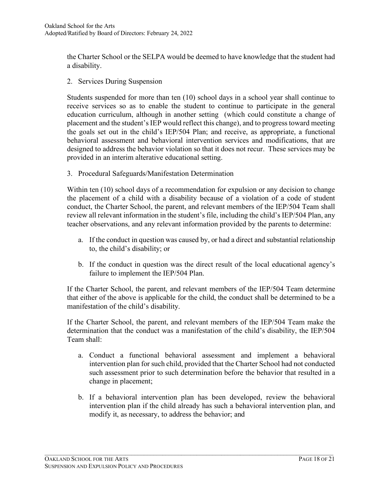the Charter School or the SELPA would be deemed to have knowledge that the student had a disability.

2. Services During Suspension

Students suspended for more than ten (10) school days in a school year shall continue to receive services so as to enable the student to continue to participate in the general education curriculum, although in another setting (which could constitute a change of placement and the student's IEP would reflect this change), and to progress toward meeting the goals set out in the child's IEP/504 Plan; and receive, as appropriate, a functional behavioral assessment and behavioral intervention services and modifications, that are designed to address the behavior violation so that it does not recur. These services may be provided in an interim alterative educational setting.

3. Procedural Safeguards/Manifestation Determination

Within ten (10) school days of a recommendation for expulsion or any decision to change the placement of a child with a disability because of a violation of a code of student conduct, the Charter School, the parent, and relevant members of the IEP/504 Team shall review all relevant information in the student's file, including the child's IEP/504 Plan, any teacher observations, and any relevant information provided by the parents to determine:

- a. If the conduct in question was caused by, or had a direct and substantial relationship to, the child's disability; or
- b. If the conduct in question was the direct result of the local educational agency's failure to implement the IEP/504 Plan.

If the Charter School, the parent, and relevant members of the IEP/504 Team determine that either of the above is applicable for the child, the conduct shall be determined to be a manifestation of the child's disability.

If the Charter School, the parent, and relevant members of the IEP/504 Team make the determination that the conduct was a manifestation of the child's disability, the IEP/504 Team shall:

- a. Conduct a functional behavioral assessment and implement a behavioral intervention plan for such child, provided that the Charter School had not conducted such assessment prior to such determination before the behavior that resulted in a change in placement;
- b. If a behavioral intervention plan has been developed, review the behavioral intervention plan if the child already has such a behavioral intervention plan, and modify it, as necessary, to address the behavior; and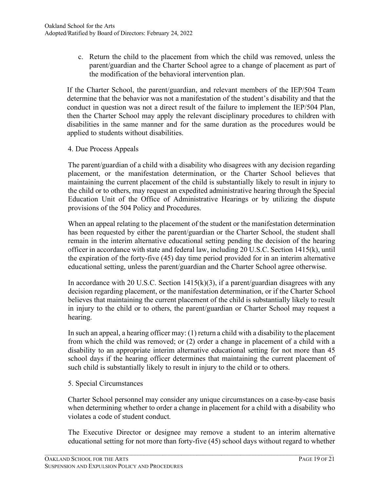c. Return the child to the placement from which the child was removed, unless the parent/guardian and the Charter School agree to a change of placement as part of the modification of the behavioral intervention plan.

If the Charter School, the parent/guardian, and relevant members of the IEP/504 Team determine that the behavior was not a manifestation of the student's disability and that the conduct in question was not a direct result of the failure to implement the IEP/504 Plan, then the Charter School may apply the relevant disciplinary procedures to children with disabilities in the same manner and for the same duration as the procedures would be applied to students without disabilities.

4. Due Process Appeals

The parent/guardian of a child with a disability who disagrees with any decision regarding placement, or the manifestation determination, or the Charter School believes that maintaining the current placement of the child is substantially likely to result in injury to the child or to others, may request an expedited administrative hearing through the Special Education Unit of the Office of Administrative Hearings or by utilizing the dispute provisions of the 504 Policy and Procedures.

When an appeal relating to the placement of the student or the manifestation determination has been requested by either the parent/guardian or the Charter School, the student shall remain in the interim alternative educational setting pending the decision of the hearing officer in accordance with state and federal law, including 20 U.S.C. Section 1415(k), until the expiration of the forty-five (45) day time period provided for in an interim alternative educational setting, unless the parent/guardian and the Charter School agree otherwise.

In accordance with 20 U.S.C. Section  $1415(k)(3)$ , if a parent/guardian disagrees with any decision regarding placement, or the manifestation determination, or if the Charter School believes that maintaining the current placement of the child is substantially likely to result in injury to the child or to others, the parent/guardian or Charter School may request a hearing.

In such an appeal, a hearing officer may: (1) return a child with a disability to the placement from which the child was removed; or (2) order a change in placement of a child with a disability to an appropriate interim alternative educational setting for not more than 45 school days if the hearing officer determines that maintaining the current placement of such child is substantially likely to result in injury to the child or to others.

5. Special Circumstances

Charter School personnel may consider any unique circumstances on a case-by-case basis when determining whether to order a change in placement for a child with a disability who violates a code of student conduct.

The Executive Director or designee may remove a student to an interim alternative educational setting for not more than forty-five (45) school days without regard to whether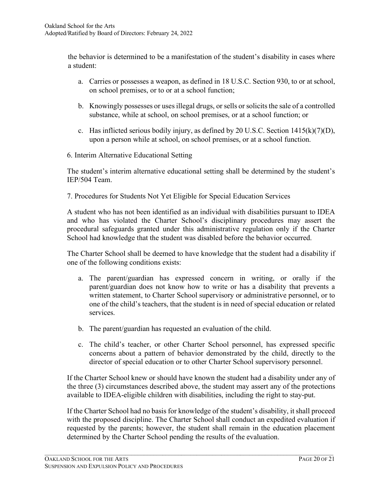the behavior is determined to be a manifestation of the student's disability in cases where a student:

- a. Carries or possesses a weapon, as defined in 18 U.S.C. Section 930, to or at school, on school premises, or to or at a school function;
- b. Knowingly possesses or uses illegal drugs, or sells or solicits the sale of a controlled substance, while at school, on school premises, or at a school function; or
- c. Has inflicted serious bodily injury, as defined by 20 U.S.C. Section  $1415(k)(7)(D)$ , upon a person while at school, on school premises, or at a school function.
- 6. Interim Alternative Educational Setting

The student's interim alternative educational setting shall be determined by the student's IEP/504 Team.

7. Procedures for Students Not Yet Eligible for Special Education Services

A student who has not been identified as an individual with disabilities pursuant to IDEA and who has violated the Charter School's disciplinary procedures may assert the procedural safeguards granted under this administrative regulation only if the Charter School had knowledge that the student was disabled before the behavior occurred.

The Charter School shall be deemed to have knowledge that the student had a disability if one of the following conditions exists:

- a. The parent/guardian has expressed concern in writing, or orally if the parent/guardian does not know how to write or has a disability that prevents a written statement, to Charter School supervisory or administrative personnel, or to one of the child's teachers, that the student is in need of special education or related services.
- b. The parent/guardian has requested an evaluation of the child.
- c. The child's teacher, or other Charter School personnel, has expressed specific concerns about a pattern of behavior demonstrated by the child, directly to the director of special education or to other Charter School supervisory personnel.

If the Charter School knew or should have known the student had a disability under any of the three (3) circumstances described above, the student may assert any of the protections available to IDEA-eligible children with disabilities, including the right to stay-put.

If the Charter School had no basis for knowledge of the student's disability, it shall proceed with the proposed discipline. The Charter School shall conduct an expedited evaluation if requested by the parents; however, the student shall remain in the education placement determined by the Charter School pending the results of the evaluation.